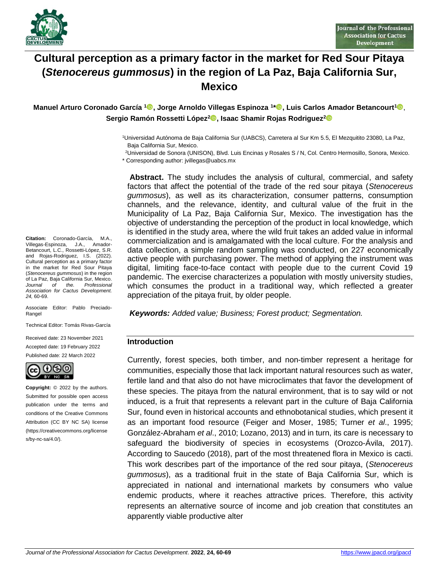

# **Cultural perception as a primary factor in the market for Red Sour Pitaya (***Stenocereus gummosus***) in the region of La Paz, Baja California Sur, Mexico**

**Manuel Arturo Coronado García <sup>1</sup> , Jorge Arnoldo Villegas Espinoza <sup>1</sup> [\\*](https://orcid.org/0000-0001-6551-8028) , Luis Carlos Amador Betancourt<sup>1</sup>** , **Sergio Ramón Rossetti López[2](https://orcid.org/0000-0002-5524-8674) , Isaac Shamir Rojas Rodriguez<sup>2</sup>**

> <sup>1</sup>Universidad Autónoma de Baja California Sur (UABCS), Carretera al Sur Km 5.5, El Mezquitito 23080, La Paz, Baja California Sur, Mexico.

<sup>2</sup>Universidad de Sonora (UNISON), Blvd. Luis Encinas y Rosales S / N, Col. Centro Hermosillo, Sonora, Mexico.

\* Corresponding author: jvillegas@uabcs.mx

**Abstract.** The study includes the analysis of cultural, commercial, and safety factors that affect the potential of the trade of the red sour pitaya (*Stenocereus gummosus*), as well as its characterization, consumer patterns, consumption channels, and the relevance, identity, and cultural value of the fruit in the Municipality of La Paz, Baja California Sur, Mexico. The investigation has the objective of understanding the perception of the product in local knowledge, which is identified in the study area, where the wild fruit takes an added value in informal commercialization and is amalgamated with the local culture. For the analysis and data collection, a simple random sampling was conducted, on 227 economically active people with purchasing power. The method of applying the instrument was digital, limiting face-to-face contact with people due to the current Covid 19 pandemic. The exercise characterizes a population with mostly university studies, which consumes the product in a traditional way, which reflected a greater appreciation of the pitaya fruit, by older people.

*Keywords: Added value; Business; Forest product; Segmentation.*

#### **Introduction**

Currently, forest species, both timber, and non-timber represent a heritage for communities, especially those that lack important natural resources such as water, fertile land and that also do not have microclimates that favor the development of these species. The pitaya from the natural environment, that is to say wild or not induced, is a fruit that represents a relevant part in the culture of Baja California Sur, found even in historical accounts and ethnobotanical studies, which present it as an important food resource (Feiger and Moser, 1985; Turner *et al*., 1995; González-Abraham *et al*., 2010; Lozano, 2013) and in turn, its care is necessary to safeguard the biodiversity of species in ecosystems (Orozco-Ávila, 2017). According to Saucedo (2018), part of the most threatened flora in Mexico is cacti. This work describes part of the importance of the red sour pitaya, (*Stenocereus gummosus*), as a traditional fruit in the state of Baja California Sur, which is appreciated in national and international markets by consumers who value endemic products, where it reaches attractive prices. Therefore, this activity represents an alternative source of income and job creation that constitutes an apparently viable productive alter

**Citation:** Coronado-García, M.A., Villegas-Espinoza, J.A., Amador-Betancourt, L.C., Rossetti-López, S.R. and Rojas-Rodriguez, I.S. (2022). Cultural perception as a primary factor in the market for Red Sour Pitaya (*Stenocereus gummosus*) in the region of La Paz, Baja California Sur, Mexico.<br>Journal of the Professional *Journal of the. Professional Association for Cactus Development. 24,* 60-69.

Associate Editor: Pablo Preciado-Rangel

Technical Editor: Tomás Rivas-García

Received date: 23 November 2021 Accepted date: 19 February 2022 Published date: 22 March 2022



**Copyright:** © 2022 by the authors. Submitted for possible open access publication under the terms and conditions of the Creative Commons Attribution (CC BY NC SA) license (https://creativecommons.org/license s/by-nc-sa/4.0/).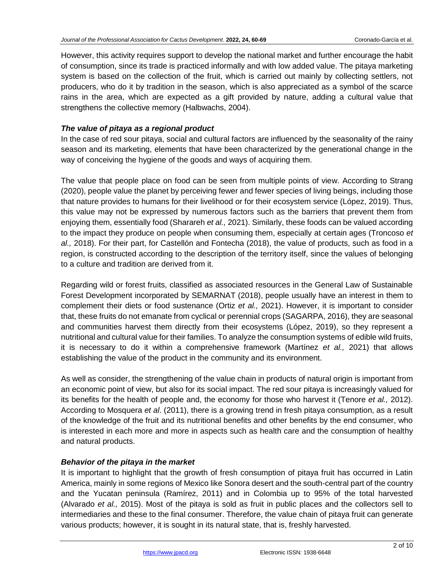However, this activity requires support to develop the national market and further encourage the habit of consumption, since its trade is practiced informally and with low added value. The pitaya marketing system is based on the collection of the fruit, which is carried out mainly by collecting settlers, not producers, who do it by tradition in the season, which is also appreciated as a symbol of the scarce rains in the area, which are expected as a gift provided by nature, adding a cultural value that strengthens the collective memory (Halbwachs, 2004).

# *The value of pitaya as a regional product*

In the case of red sour pitaya, social and cultural factors are influenced by the seasonality of the rainy season and its marketing, elements that have been characterized by the generational change in the way of conceiving the hygiene of the goods and ways of acquiring them.

The value that people place on food can be seen from multiple points of view. According to Strang (2020), people value the planet by perceiving fewer and fewer species of living beings, including those that nature provides to humans for their livelihood or for their ecosystem service (López, 2019). Thus, this value may not be expressed by numerous factors such as the barriers that prevent them from enjoying them, essentially food (Sharareh *et al.,* 2021). Similarly, these foods can be valued according to the impact they produce on people when consuming them, especially at certain ages (Troncoso *et al.,* 2018). For their part, for Castellón and Fontecha (2018), the value of products, such as food in a region, is constructed according to the description of the territory itself, since the values of belonging to a culture and tradition are derived from it.

Regarding wild or forest fruits, classified as associated resources in the General Law of Sustainable Forest Development incorporated by SEMARNAT (2018), people usually have an interest in them to complement their diets or food sustenance (Ortiz *et al.,* 2021). However, it is important to consider that, these fruits do not emanate from cyclical or perennial crops (SAGARPA, 2016), they are seasonal and communities harvest them directly from their ecosystems (López, 2019), so they represent a nutritional and cultural value for their families. To analyze the consumption systems of edible wild fruits, it is necessary to do it within a comprehensive framework (Martínez *et al.,* 2021) that allows establishing the value of the product in the community and its environment.

As well as consider, the strengthening of the value chain in products of natural origin is important from an economic point of view, but also for its social impact. The red sour pitaya is increasingly valued for its benefits for the health of people and, the economy for those who harvest it (Tenore *et al.,* 2012). According to Mosquera *et al*. (2011), there is a growing trend in fresh pitaya consumption, as a result of the knowledge of the fruit and its nutritional benefits and other benefits by the end consumer, who is interested in each more and more in aspects such as health care and the consumption of healthy and natural products.

## *Behavior of the pitaya in the market*

It is important to highlight that the growth of fresh consumption of pitaya fruit has occurred in Latin America, mainly in some regions of Mexico like Sonora desert and the south-central part of the country and the Yucatan peninsula (Ramírez, 2011) and in Colombia up to 95% of the total harvested (Alvarado *et al.,* 2015). Most of the pitaya is sold as fruit in public places and the collectors sell to intermediaries and these to the final consumer. Therefore, the value chain of pitaya fruit can generate various products; however, it is sought in its natural state, that is, freshly harvested.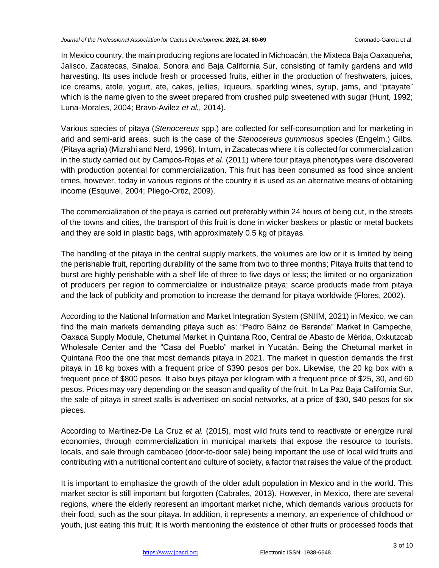In Mexico country, the main producing regions are located in Michoacán, the Mixteca Baja Oaxaqueña, Jalisco, Zacatecas, Sinaloa, Sonora and Baja California Sur, consisting of family gardens and wild harvesting. Its uses include fresh or processed fruits, either in the production of freshwaters, juices, ice creams, atole, yogurt, ate, cakes, jellies, liqueurs, sparkling wines, syrup, jams, and "pitayate" which is the name given to the sweet prepared from crushed pulp sweetened with sugar (Hunt, 1992; Luna-Morales, 2004; Bravo-Avilez *et al.,* 2014).

Various species of pitaya (*Stenocereus* spp.) are collected for self-consumption and for marketing in arid and semi-arid areas, such is the case of the *Stenocereus gummosus* species (Engelm.) Gilbs. (Pitaya agria) (Mizrahi and Nerd, 1996). In turn, in Zacatecas where it is collected for commercialization in the study carried out by Campos-Rojas *et al.* (2011) where four pitaya phenotypes were discovered with production potential for commercialization. This fruit has been consumed as food since ancient times, however, today in various regions of the country it is used as an alternative means of obtaining income (Esquivel, 2004; Pliego-Ortiz, 2009).

The commercialization of the pitaya is carried out preferably within 24 hours of being cut, in the streets of the towns and cities, the transport of this fruit is done in wicker baskets or plastic or metal buckets and they are sold in plastic bags, with approximately 0.5 kg of pitayas.

The handling of the pitaya in the central supply markets, the volumes are low or it is limited by being the perishable fruit, reporting durability of the same from two to three months; Pitaya fruits that tend to burst are highly perishable with a shelf life of three to five days or less; the limited or no organization of producers per region to commercialize or industrialize pitaya; scarce products made from pitaya and the lack of publicity and promotion to increase the demand for pitaya worldwide (Flores, 2002).

According to the National Information and Market Integration System (SNIIM, 2021) in Mexico, we can find the main markets demanding pitaya such as: "Pedro Sáinz de Baranda" Market in Campeche, Oaxaca Supply Module, Chetumal Market in Quintana Roo, Central de Abasto de Mérida, Oxkutzcab Wholesale Center and the "Casa del Pueblo" market in Yucatán. Being the Chetumal market in Quintana Roo the one that most demands pitaya in 2021. The market in question demands the first pitaya in 18 kg boxes with a frequent price of \$390 pesos per box. Likewise, the 20 kg box with a frequent price of \$800 pesos. It also buys pitaya per kilogram with a frequent price of \$25, 30, and 60 pesos. Prices may vary depending on the season and quality of the fruit. In La Paz Baja California Sur, the sale of pitaya in street stalls is advertised on social networks, at a price of \$30, \$40 pesos for six pieces.

According to Martínez-De La Cruz *et al.* (2015), most wild fruits tend to reactivate or energize rural economies, through commercialization in municipal markets that expose the resource to tourists, locals, and sale through cambaceo (door-to-door sale) being important the use of local wild fruits and contributing with a nutritional content and culture of society, a factor that raises the value of the product.

It is important to emphasize the growth of the older adult population in Mexico and in the world. This market sector is still important but forgotten (Cabrales, 2013). However, in Mexico, there are several regions, where the elderly represent an important market niche, which demands various products for their food, such as the sour pitaya. In addition, it represents a memory, an experience of childhood or youth, just eating this fruit; It is worth mentioning the existence of other fruits or processed foods that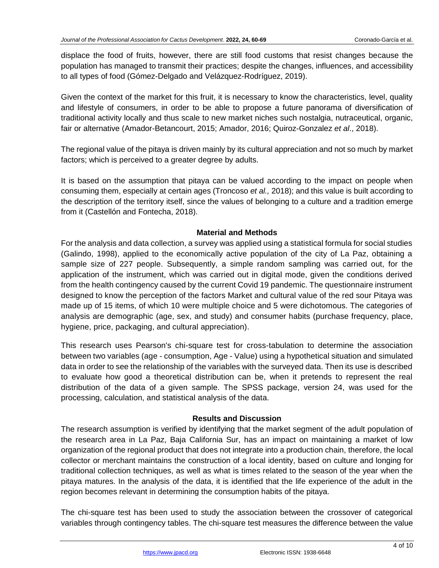displace the food of fruits, however, there are still food customs that resist changes because the population has managed to transmit their practices; despite the changes, influences, and accessibility to all types of food (Gómez-Delgado and Velázquez-Rodríguez, 2019).

Given the context of the market for this fruit, it is necessary to know the characteristics, level, quality and lifestyle of consumers, in order to be able to propose a future panorama of diversification of traditional activity locally and thus scale to new market niches such nostalgia, nutraceutical, organic, fair or alternative (Amador-Betancourt, 2015; Amador, 2016; Quiroz-Gonzalez *et al*., 2018).

The regional value of the pitaya is driven mainly by its cultural appreciation and not so much by market factors; which is perceived to a greater degree by adults.

It is based on the assumption that pitaya can be valued according to the impact on people when consuming them, especially at certain ages (Troncoso *et al.,* 2018); and this value is built according to the description of the territory itself, since the values of belonging to a culture and a tradition emerge from it (Castellón and Fontecha, 2018).

## **Material and Methods**

For the analysis and data collection, a survey was applied using a statistical formula for social studies (Galindo, 1998), applied to the economically active population of the city of La Paz, obtaining a sample size of 227 people. Subsequently, a simple random sampling was carried out, for the application of the instrument, which was carried out in digital mode, given the conditions derived from the health contingency caused by the current Covid 19 pandemic. The questionnaire instrument designed to know the perception of the factors Market and cultural value of the red sour Pitaya was made up of 15 items, of which 10 were multiple choice and 5 were dichotomous. The categories of analysis are demographic (age, sex, and study) and consumer habits (purchase frequency, place, hygiene, price, packaging, and cultural appreciation).

This research uses Pearson's chi-square test for cross-tabulation to determine the association between two variables (age - consumption, Age - Value) using a hypothetical situation and simulated data in order to see the relationship of the variables with the surveyed data. Then its use is described to evaluate how good a theoretical distribution can be, when it pretends to represent the real distribution of the data of a given sample. The SPSS package, version 24, was used for the processing, calculation, and statistical analysis of the data.

## **Results and Discussion**

The research assumption is verified by identifying that the market segment of the adult population of the research area in La Paz, Baja California Sur, has an impact on maintaining a market of low organization of the regional product that does not integrate into a production chain, therefore, the local collector or merchant maintains the construction of a local identity, based on culture and longing for traditional collection techniques, as well as what is times related to the season of the year when the pitaya matures. In the analysis of the data, it is identified that the life experience of the adult in the region becomes relevant in determining the consumption habits of the pitaya.

The chi-square test has been used to study the association between the crossover of categorical variables through contingency tables. The chi-square test measures the difference between the value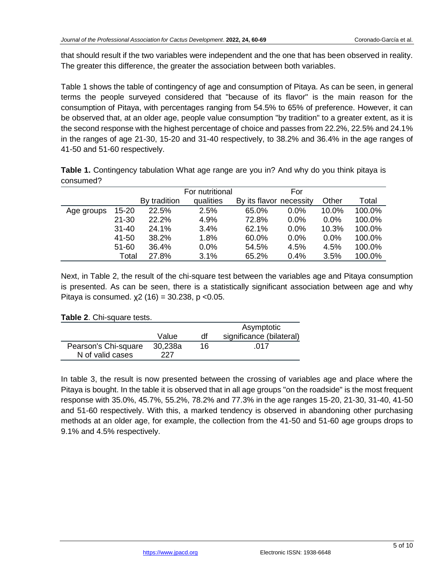that should result if the two variables were independent and the one that has been observed in reality. The greater this difference, the greater the association between both variables.

Table 1 shows the table of contingency of age and consumption of Pitaya. As can be seen, in general terms the people surveyed considered that "because of its flavor" is the main reason for the consumption of Pitaya, with percentages ranging from 54.5% to 65% of preference. However, it can be observed that, at an older age, people value consumption "by tradition" to a greater extent, as it is the second response with the highest percentage of choice and passes from 22.2%, 22.5% and 24.1% in the ranges of age 21-30, 15-20 and 31-40 respectively, to 38.2% and 36.4% in the age ranges of 41-50 and 51-60 respectively.

**Table 1.** Contingency tabulation What age range are you in? And why do you think pitaya is consumed?

|            |           |              | For nutritional |                         | For     |         |        |
|------------|-----------|--------------|-----------------|-------------------------|---------|---------|--------|
|            |           | By tradition | qualities       | By its flavor necessity |         | Other   | Total  |
| Age groups | $15 - 20$ | 22.5%        | 2.5%            | 65.0%                   | 0.0%    | 10.0%   | 100.0% |
|            | $21 - 30$ | 22.2%        | 4.9%            | 72.8%                   | $0.0\%$ | $0.0\%$ | 100.0% |
|            | $31 - 40$ | 24.1%        | 3.4%            | 62.1%                   | 0.0%    | 10.3%   | 100.0% |
|            | 41-50     | 38.2%        | 1.8%            | 60.0%                   | $0.0\%$ | $0.0\%$ | 100.0% |
|            | $51 - 60$ | 36.4%        | 0.0%            | 54.5%                   | 4.5%    | 4.5%    | 100.0% |
|            | Total     | 27.8%        | 3.1%            | 65.2%                   | 0.4%    | 3.5%    | 100.0% |

Next, in Table 2, the result of the chi-square test between the variables age and Pitaya consumption is presented. As can be seen, there is a statistically significant association between age and why Pitaya is consumed.  $x^2$  (16) = 30.238, p <0.05.

## **Table 2**. Chi-square tests.

|                      |         |    | Asymptotic               |  |
|----------------------|---------|----|--------------------------|--|
|                      | Value   | df | significance (bilateral) |  |
| Pearson's Chi-square | 30,238a | 16 | .017                     |  |
| N of valid cases     | 227     |    |                          |  |

In table 3, the result is now presented between the crossing of variables age and place where the Pitaya is bought. In the table it is observed that in all age groups "on the roadside" is the most frequent response with 35.0%, 45.7%, 55.2%, 78.2% and 77.3% in the age ranges 15-20, 21-30, 31-40, 41-50 and 51-60 respectively. With this, a marked tendency is observed in abandoning other purchasing methods at an older age, for example, the collection from the 41-50 and 51-60 age groups drops to 9.1% and 4.5% respectively.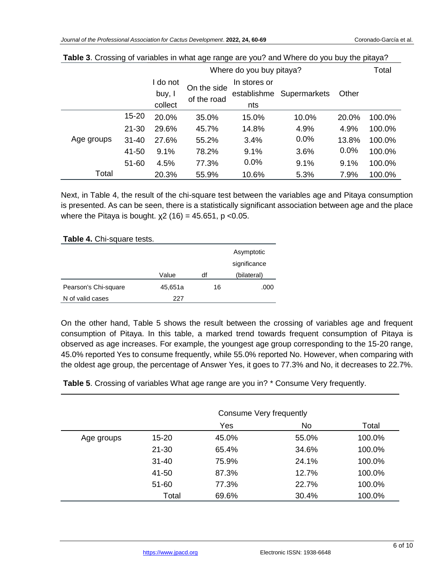|            |           | Where do you buy pitaya?    |                            |                                    |              | Total |        |
|------------|-----------|-----------------------------|----------------------------|------------------------------------|--------------|-------|--------|
|            |           | do not<br>buy, I<br>collect | On the side<br>of the road | In stores or<br>establishme<br>nts | Supermarkets | Other |        |
|            | 15-20     | 20.0%                       | 35.0%                      | 15.0%                              | 10.0%        | 20.0% | 100.0% |
|            | $21 - 30$ | 29.6%                       | 45.7%                      | 14.8%                              | 4.9%         | 4.9%  | 100.0% |
| Age groups | $31 - 40$ | 27.6%                       | 55.2%                      | 3.4%                               | 0.0%         | 13.8% | 100.0% |
|            | 41-50     | 9.1%                        | 78.2%                      | 9.1%                               | 3.6%         | 0.0%  | 100.0% |
|            | $51 - 60$ | 4.5%                        | 77.3%                      | 0.0%                               | 9.1%         | 9.1%  | 100.0% |
| Total      |           | 20.3%                       | 55.9%                      | 10.6%                              | 5.3%         | 7.9%  | 100.0% |

| Table 3. Crossing of variables in what age range are you? and Where do you buy the pitaya? |  |
|--------------------------------------------------------------------------------------------|--|
|--------------------------------------------------------------------------------------------|--|

Next, in Table 4, the result of the chi-square test between the variables age and Pitaya consumption is presented. As can be seen, there is a statistically significant association between age and the place where the Pitaya is bought.  $x^2$  (16) = 45.651, p <0.05.

**Table 4.** Chi-square tests.

|                      |         |    | Asymptotic<br>significance |
|----------------------|---------|----|----------------------------|
|                      | Value   | df | (bilateral)                |
| Pearson's Chi-square | 45,651a | 16 | .000                       |
| N of valid cases     | 227     |    |                            |

On the other hand, Table 5 shows the result between the crossing of variables age and frequent consumption of Pitaya. In this table, a marked trend towards frequent consumption of Pitaya is observed as age increases. For example, the youngest age group corresponding to the 15-20 range, 45.0% reported Yes to consume frequently, while 55.0% reported No. However, when comparing with the oldest age group, the percentage of Answer Yes, it goes to 77.3% and No, it decreases to 22.7%.

**Table 5**. Crossing of variables What age range are you in? \* Consume Very frequently.

|            | Consume Very frequently |       |       |        |
|------------|-------------------------|-------|-------|--------|
|            |                         | Yes   | No    | Total  |
| Age groups | 15-20                   | 45.0% | 55.0% | 100.0% |
|            | $21 - 30$               | 65.4% | 34.6% | 100.0% |
|            | $31 - 40$               | 75.9% | 24.1% | 100.0% |
|            | 41-50                   | 87.3% | 12.7% | 100.0% |
|            | 51-60                   | 77.3% | 22.7% | 100.0% |
|            | Total                   | 69.6% | 30.4% | 100.0% |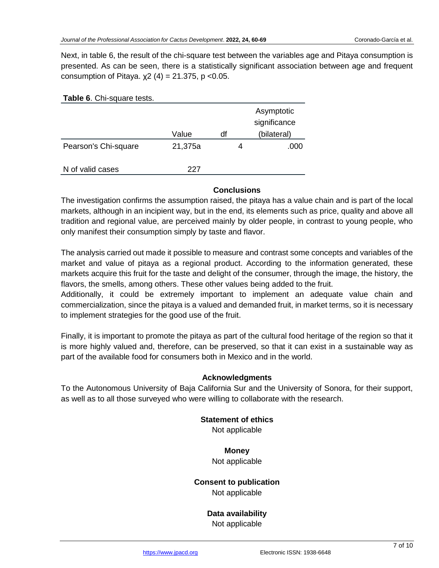Next, in table 6, the result of the chi-square test between the variables age and Pitaya consumption is presented. As can be seen, there is a statistically significant association between age and frequent consumption of Pitaya.  $χ2(4) = 21.375$ , p <0.05.

| <b>Table 6. Chi-square tests.</b> |         |    |                            |
|-----------------------------------|---------|----|----------------------------|
|                                   |         |    | Asymptotic<br>significance |
|                                   | Value   | df | (bilateral)                |
| Pearson's Chi-square              | 21,375a | 4  | .000                       |
| N of valid cases                  | 227     |    |                            |

## **Conclusions**

The investigation confirms the assumption raised, the pitaya has a value chain and is part of the local markets, although in an incipient way, but in the end, its elements such as price, quality and above all tradition and regional value, are perceived mainly by older people, in contrast to young people, who only manifest their consumption simply by taste and flavor.

The analysis carried out made it possible to measure and contrast some concepts and variables of the market and value of pitaya as a regional product. According to the information generated, these markets acquire this fruit for the taste and delight of the consumer, through the image, the history, the flavors, the smells, among others. These other values being added to the fruit.

Additionally, it could be extremely important to implement an adequate value chain and commercialization, since the pitaya is a valued and demanded fruit, in market terms, so it is necessary to implement strategies for the good use of the fruit.

Finally, it is important to promote the pitaya as part of the cultural food heritage of the region so that it is more highly valued and, therefore, can be preserved, so that it can exist in a sustainable way as part of the available food for consumers both in Mexico and in the world.

## **Acknowledgments**

To the Autonomous University of Baja California Sur and the University of Sonora, for their support, as well as to all those surveyed who were willing to collaborate with the research.

## **Statement of ethics**

Not applicable

## **Money**

Not applicable

## **Consent to publication**

Not applicable

## **Data availability** Not applicable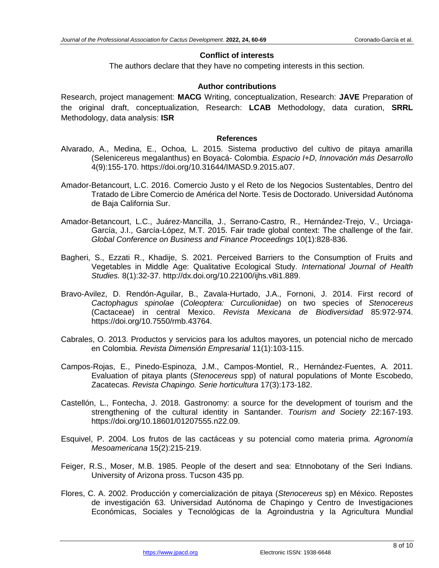#### **Conflict of interests**

The authors declare that they have no competing interests in this section.

## **Author contributions**

Research, project management: **MACG** Writing, conceptualization, Research: **JAVE** Preparation of the original draft, conceptualization, Research: **LCAB** Methodology, data curation, **SRRL** Methodology, data analysis: **ISR**

#### **References**

- Alvarado, A., Medina, E., Ochoa, L. 2015. Sistema productivo del cultivo de pitaya amarilla (Selenicereus megalanthus) en Boyacá- Colombia. *Espacio I+D, Innovación más Desarrollo* 4(9):155-170. https://doi.org/10.31644/IMASD.9.2015.a07.
- Amador-Betancourt, L.C. 2016. Comercio Justo y el Reto de los Negocios Sustentables, Dentro del Tratado de Libre Comercio de América del Norte. Tesis de Doctorado. Universidad Autónoma de Baja California Sur.
- Amador-Betancourt, L.C., Juárez-Mancilla, J., Serrano-Castro, R., Hernández-Trejo, V., Urciaga-García, J.I., García-López, M.T. 2015. Fair trade global context: The challenge of the fair. *Global Conference on Business and Finance Proceedings* 10(1):828-836.
- Bagheri, S., Ezzati R., Khadije, S. 2021. Perceived Barriers to the Consumption of Fruits and Vegetables in Middle Age: Qualitative Ecological Study. *International Journal of Health Studies.* 8(1):32-37. http://dx.doi.org/10.22100/ijhs.v8i1.889.
- Bravo-Avilez, D. Rendón-Aguilar, B., Zavala-Hurtado, J.A., Fornoni, J. 2014. First record of *Cactophagus spinolae* (*Coleoptera: Curculionidae*) on two species of *Stenocereus* (Cactaceae) in central Mexico. *Revista Mexicana de Biodiversidad* 85:972-974. https://doi.org/10.7550/rmb.43764.
- Cabrales, O. 2013. Productos y servicios para los adultos mayores, un potencial nicho de mercado en Colombia. *Revista Dimensión Empresarial* 11(1):103-115.
- Campos-Rojas, E., Pinedo-Espinoza, J.M., Campos-Montiel, R., Hernández-Fuentes, A. 2011. Evaluation of pitaya plants (*Stenocereus* spp) of natural populations of Monte Escobedo, Zacatecas. *Revista Chapingo. Serie horticultura* 17(3):173-182.
- Castellón, L., Fontecha, J. 2018. Gastronomy: a source for the development of tourism and the strengthening of the cultural identity in Santander. *Tourism and Society* 22:167-193. https://doi.org/10.18601/01207555.n22.09.
- Esquivel, P. 2004. Los frutos de las cactáceas y su potencial como materia prima. *Agronomía Mesoamericana* 15(2):215-219.
- Feiger, R.S., Moser, M.B. 1985. People of the desert and sea: Etnnobotany of the Seri Indians. University of Arizona pross. Tucson 435 pp.
- Flores, C. A. 2002. Producción y comercialización de pitaya (*Stenocereus* sp) en México. Repostes de investigación 63. Universidad Autónoma de Chapingo y Centro de Investigaciones Económicas, Sociales y Tecnológicas de la Agroindustria y la Agricultura Mundial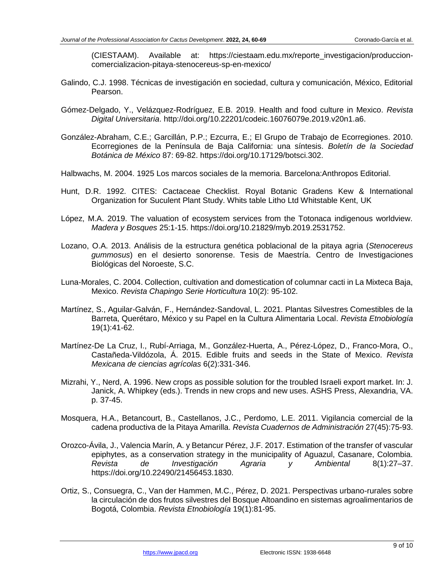(CIESTAAM). Available at: https://ciestaam.edu.mx/reporte\_investigacion/produccioncomercializacion-pitaya-stenocereus-sp-en-mexico/

- Galindo, C.J. 1998. Técnicas de investigación en sociedad, cultura y comunicación, México, Editorial Pearson.
- Gómez-Delgado, Y., Velázquez-Rodríguez, E.B. 2019. Health and food culture in Mexico. *Revista Digital Universitaria*. http://doi.org/10.22201/codeic.16076079e.2019.v20n1.a6.
- González-Abraham, C.E.; Garcillán, P.P.; Ezcurra, E.; El Grupo de Trabajo de Ecorregiones. 2010. Ecorregiones de la Península de Baja California: una síntesis. *Boletín de la Sociedad Botánica de México* 87: 69-82. https://doi.org/10.17129/botsci.302.
- Halbwachs, M. 2004. 1925 Los marcos sociales de la memoria. Barcelona:Anthropos Editorial.
- Hunt, D.R. 1992. CITES: Cactaceae Checklist. Royal Botanic Gradens Kew & International Organization for Suculent Plant Study. Whits table Litho Ltd Whitstable Kent, UK
- López, M.A. 2019. The valuation of ecosystem services from the Totonaca indigenous worldview. *Madera y Bosques* 25:1-15. https://doi.org/10.21829/myb.2019.2531752.
- Lozano, O.A. 2013. Análisis de la estructura genética poblacional de la pitaya agria (*Stenocereus gummosus*) en el desierto sonorense. Tesis de Maestría. Centro de Investigaciones Biológicas del Noroeste, S.C.
- Luna-Morales, C. 2004. Collection, cultivation and domestication of columnar cacti in La Mixteca Baja, Mexico. *Revista Chapingo Serie Horticultura* 10(2): 95-102.
- Martínez, S., Aguilar-Galván, F., Hernández-Sandoval, L. 2021. Plantas Silvestres Comestibles de la Barreta, Querétaro, México y su Papel en la Cultura Alimentaria Local. *Revista Etnobiología*  19(1):41-62.
- Martínez-De La Cruz, I., Rubí-Arriaga, M., González-Huerta, A., Pérez-López, D., Franco-Mora, O., Castañeda-Vildózola, Á. 2015. Edible fruits and seeds in the State of Mexico. *Revista Mexicana de ciencias agrícolas* 6(2):331-346.
- Mizrahi, Y., Nerd, A. 1996. New crops as possible solution for the troubled Israeli export market. In: J. Janick, A. Whipkey (eds.). Trends in new crops and new uses. ASHS Press, Alexandria, VA. p. 37-45.
- Mosquera, H.A., Betancourt, B., Castellanos, J.C., Perdomo, L.E. 2011. Vigilancia comercial de la cadena productiva de la Pitaya Amarilla. *Revista Cuadernos de Administración* 27(45):75-93.
- Orozco-Ávila, J., Valencia Marín, A. y Betancur Pérez, J.F. 2017. Estimation of the transfer of vascular epiphytes, as a conservation strategy in the municipality of Aguazul, Casanare, Colombia. *Revista de Investigación Agraria y Ambiental* 8(1):27–37. https://doi.org/10.22490/21456453.1830.
- Ortiz, S., Consuegra, C., Van der Hammen, M.C., Pérez, D. 2021. Perspectivas urbano-rurales sobre la circulación de dos frutos silvestres del Bosque Altoandino en sistemas agroalimentarios de Bogotá, Colombia. *Revista Etnobiología* 19(1):81-95.